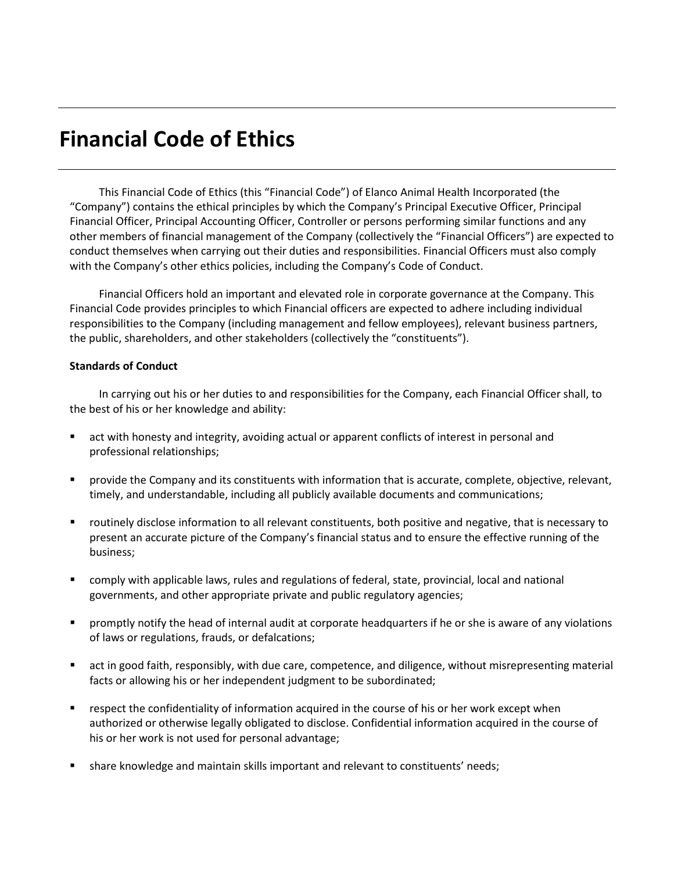## **Financial Code of Ethics**

This Financial Code of Ethics (this "Financial Code") of Elanco Animal Health Incorporated (the "Company") contains the ethical principles by which the Company's Principal Executive Officer, Principal Financial Officer, Principal Accounting Officer, Controller or persons performing similar functions and any other members of financial management of the Company (collectively the "Financial Officers") are expected to conduct themselves when carrying out their duties and responsibilities. Financial Officers must also comply with the Company's other ethics policies, including the Company's Code of Conduct.

Financial Officers hold an important and elevated role in corporate governance at the Company. This Financial Code provides principles to which Financial officers are expected to adhere including individual responsibilities to the Company (including management and fellow employees), relevant business partners, the public, shareholders, and other stakeholders (collectively the "constituents").

## **Standards of Conduct**

In carrying out his or her duties to and responsibilities for the Company, each Financial Officer shall, to the best of his or her knowledge and ability:

- act with honesty and integrity, avoiding actual or apparent conflicts of interest in personal and professional relationships;
- **Perovide the Company and its constituents with information that is accurate, complete, objective, relevant,** timely, and understandable, including all publicly available documents and communications;
- routinely disclose information to all relevant constituents, both positive and negative, that is necessary to present an accurate picture of the Company's financial status and to ensure the effective running of the business;
- comply with applicable laws, rules and regulations of federal, state, provincial, local and national governments, and other appropriate private and public regulatory agencies;
- promptly notify the head of internal audit at corporate headquarters if he or she is aware of any violations of laws or regulations, frauds, or defalcations;
- act in good faith, responsibly, with due care, competence, and diligence, without misrepresenting material facts or allowing his or her independent judgment to be subordinated;
- **EXECT** respect the confidentiality of information acquired in the course of his or her work except when authorized or otherwise legally obligated to disclose. Confidential information acquired in the course of his or her work is not used for personal advantage;
- share knowledge and maintain skills important and relevant to constituents' needs;